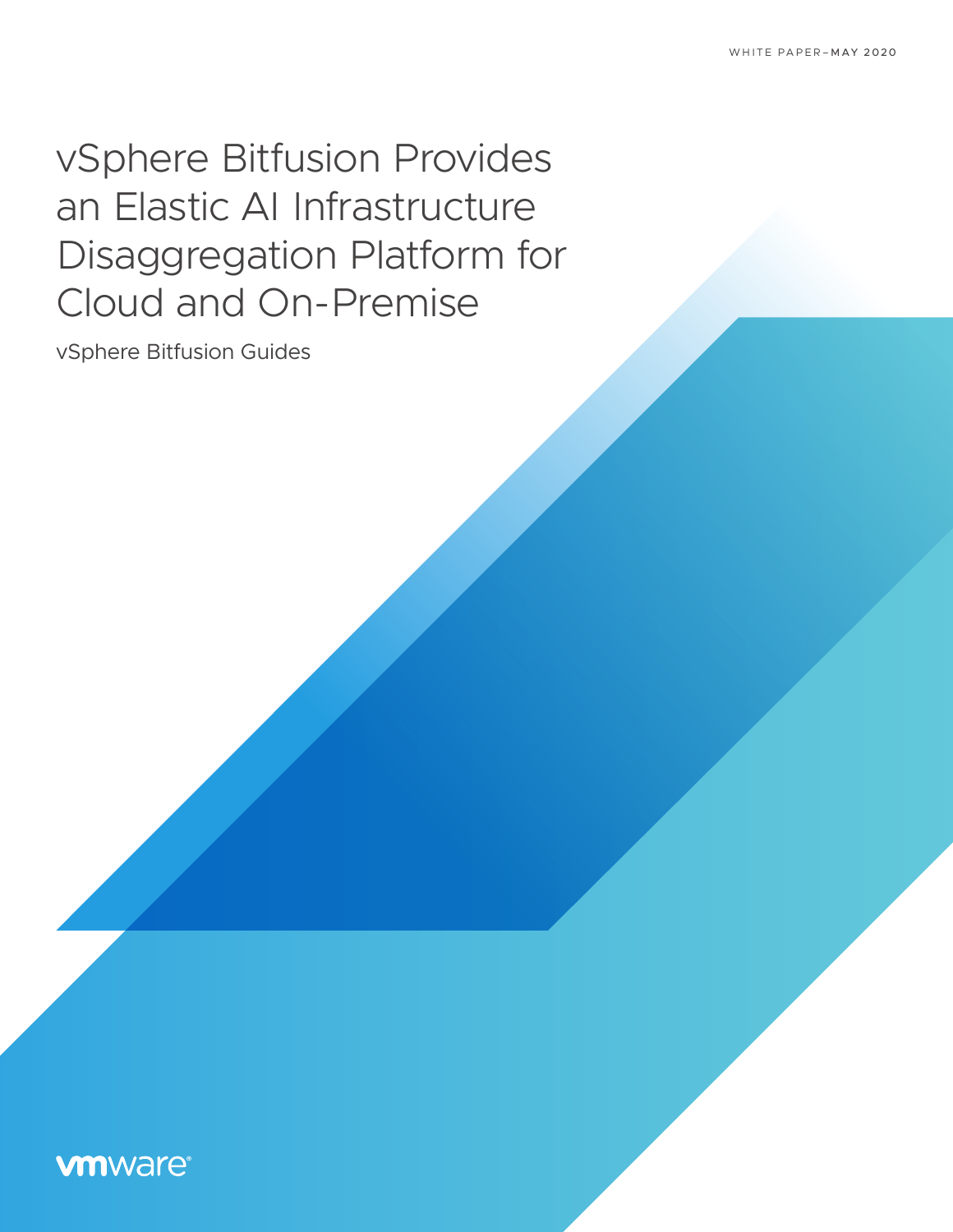# vSphere Bitfusion Provides an Elastic AI Infrastructure Disaggregation Platform for Cloud and On-Premise

vSphere Bitfusion Guides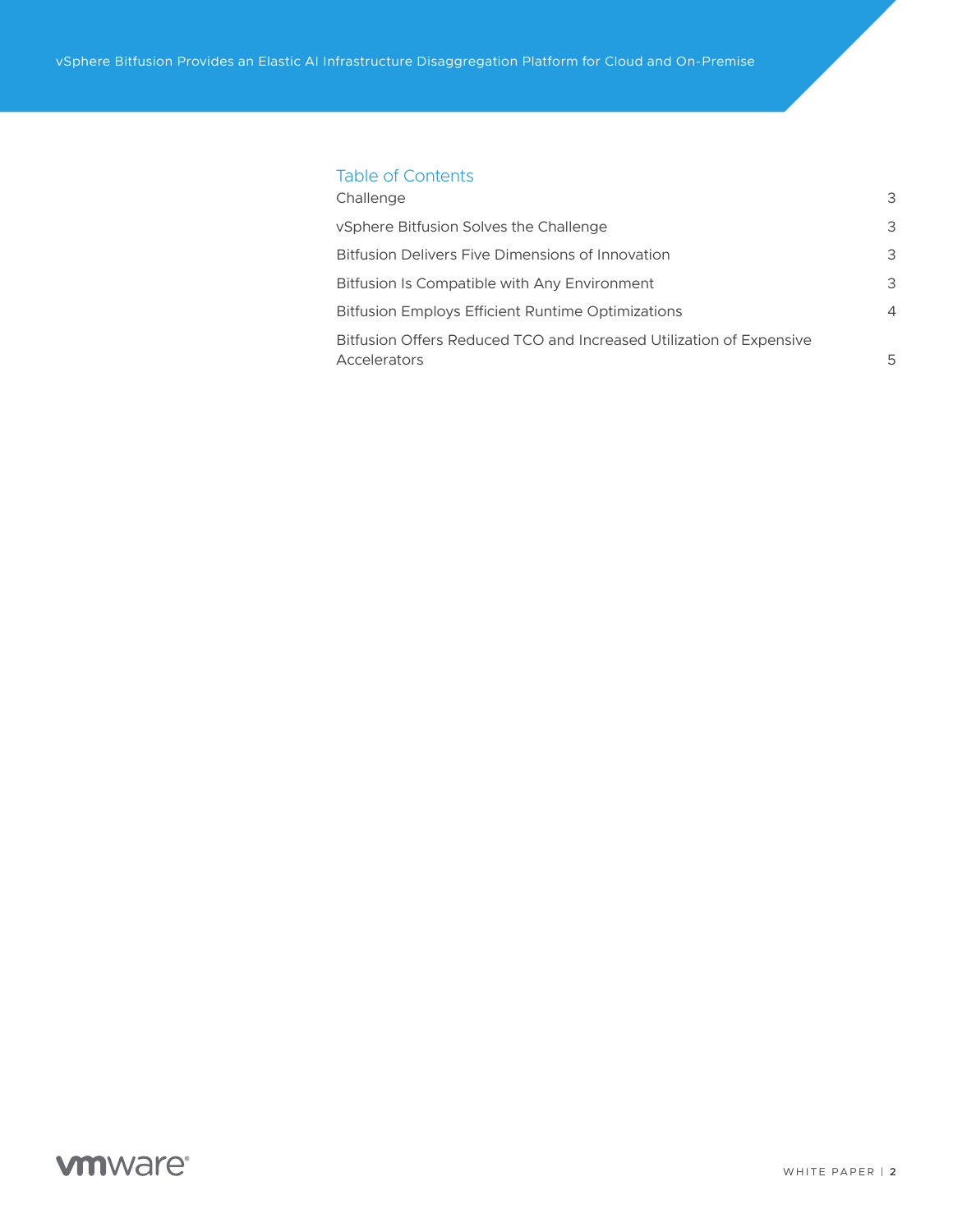### Table of Contents

| Challenge                                                                           | 3              |
|-------------------------------------------------------------------------------------|----------------|
| vSphere Bitfusion Solves the Challenge                                              | 3              |
| Bitfusion Delivers Five Dimensions of Innovation                                    | 3              |
| Bitfusion Is Compatible with Any Environment                                        | 3              |
| <b>Bitfusion Employs Efficient Runtime Optimizations</b>                            | $\overline{4}$ |
| Bitfusion Offers Reduced TCO and Increased Utilization of Expensive<br>Accelerators | 5              |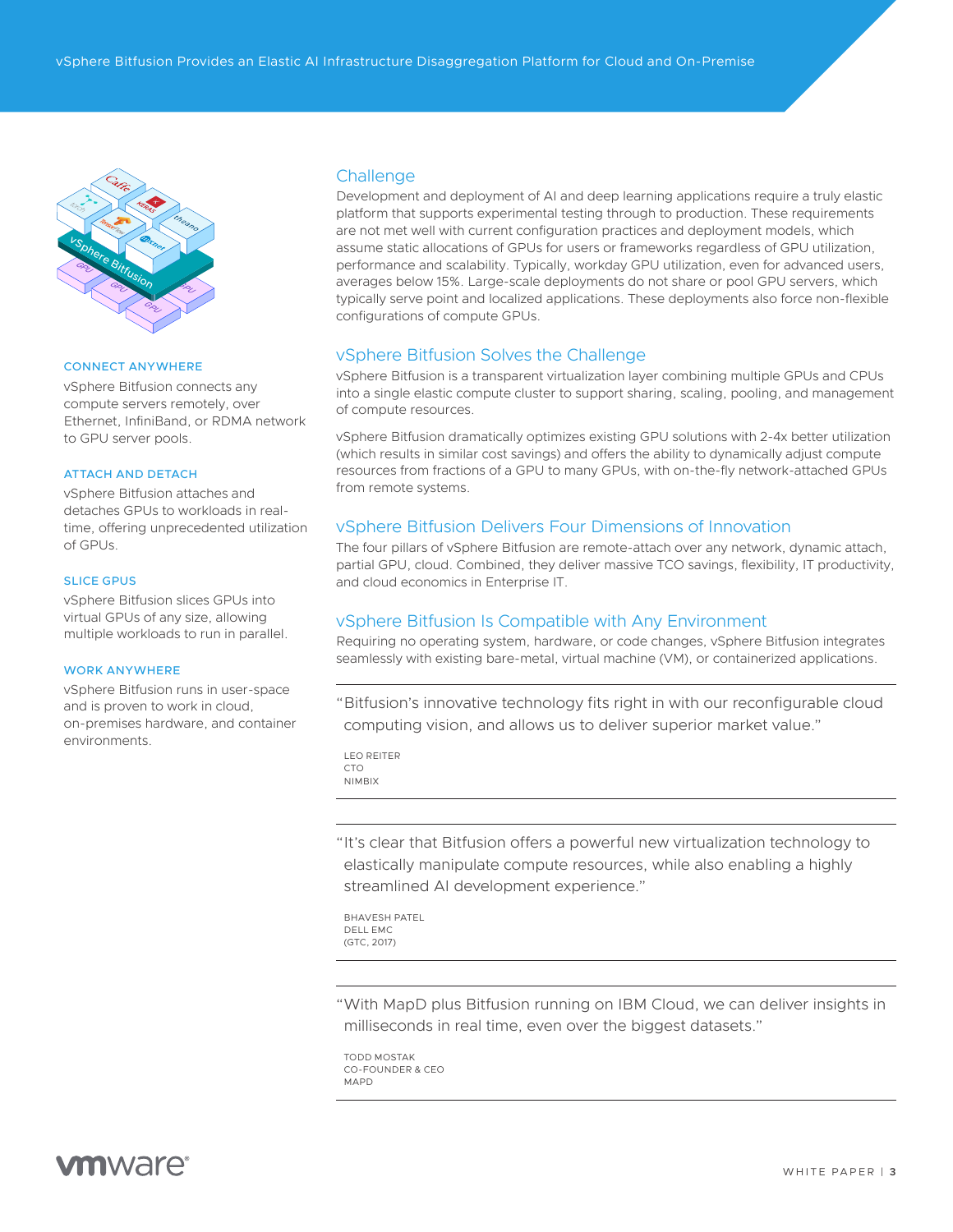<span id="page-2-0"></span>

#### CONNECT ANYWHERE

vSphere Bitfusion connects any compute servers remotely, over Ethernet, InfiniBand, or RDMA network to GPU server pools.

#### ATTACH AND DETACH

vSphere Bitfusion attaches and detaches GPUs to workloads in realtime, offering unprecedented utilization of GPUs.

#### SLICE GPUS

vSphere Bitfusion slices GPUs into virtual GPUs of any size, allowing multiple workloads to run in parallel.

#### WORK ANYWHERE

vSphere Bitfusion runs in user-space and is proven to work in cloud, on-premises hardware, and container environments.

#### **Challenge**

Development and deployment of AI and deep learning applications require a truly elastic platform that supports experimental testing through to production. These requirements are not met well with current configuration practices and deployment models, which assume static allocations of GPUs for users or frameworks regardless of GPU utilization, performance and scalability. Typically, workday GPU utilization, even for advanced users, averages below 15%. Large-scale deployments do not share or pool GPU servers, which typically serve point and localized applications. These deployments also force non-flexible configurations of compute GPUs.

#### vSphere Bitfusion Solves the Challenge

vSphere Bitfusion is a transparent virtualization layer combining multiple GPUs and CPUs into a single elastic compute cluster to support sharing, scaling, pooling, and management of compute resources.

vSphere Bitfusion dramatically optimizes existing GPU solutions with 2-4x better utilization (which results in similar cost savings) and offers the ability to dynamically adjust compute resources from fractions of a GPU to many GPUs, with on-the-fly network-attached GPUs from remote systems.

#### vSphere Bitfusion Delivers Four Dimensions of Innovation

The four pillars of vSphere Bitfusion are remote-attach over any network, dynamic attach, partial GPU, cloud. Combined, they deliver massive TCO savings, flexibility, IT productivity, and cloud economics in Enterprise IT.

#### vSphere Bitfusion Is Compatible with Any Environment

Requiring no operating system, hardware, or code changes, vSphere Bitfusion integrates seamlessly with existing bare-metal, virtual machine (VM), or containerized applications.

"Bitfusion's innovative technology fits right in with our reconfigurable cloud computing vision, and allows us to deliver superior market value."

LEO REITER CTO NIMBIX

"It's clear that Bitfusion offers a powerful new virtualization technology to elastically manipulate compute resources, while also enabling a highly streamlined AI development experience."

BHAVESH PATEL DELL EMC (GTC, 2017)

"With MapD plus Bitfusion running on IBM Cloud, we can deliver insights in milliseconds in real time, even over the biggest datasets."

TODD MOSTAK CO-FOUNDER & CEO MAPD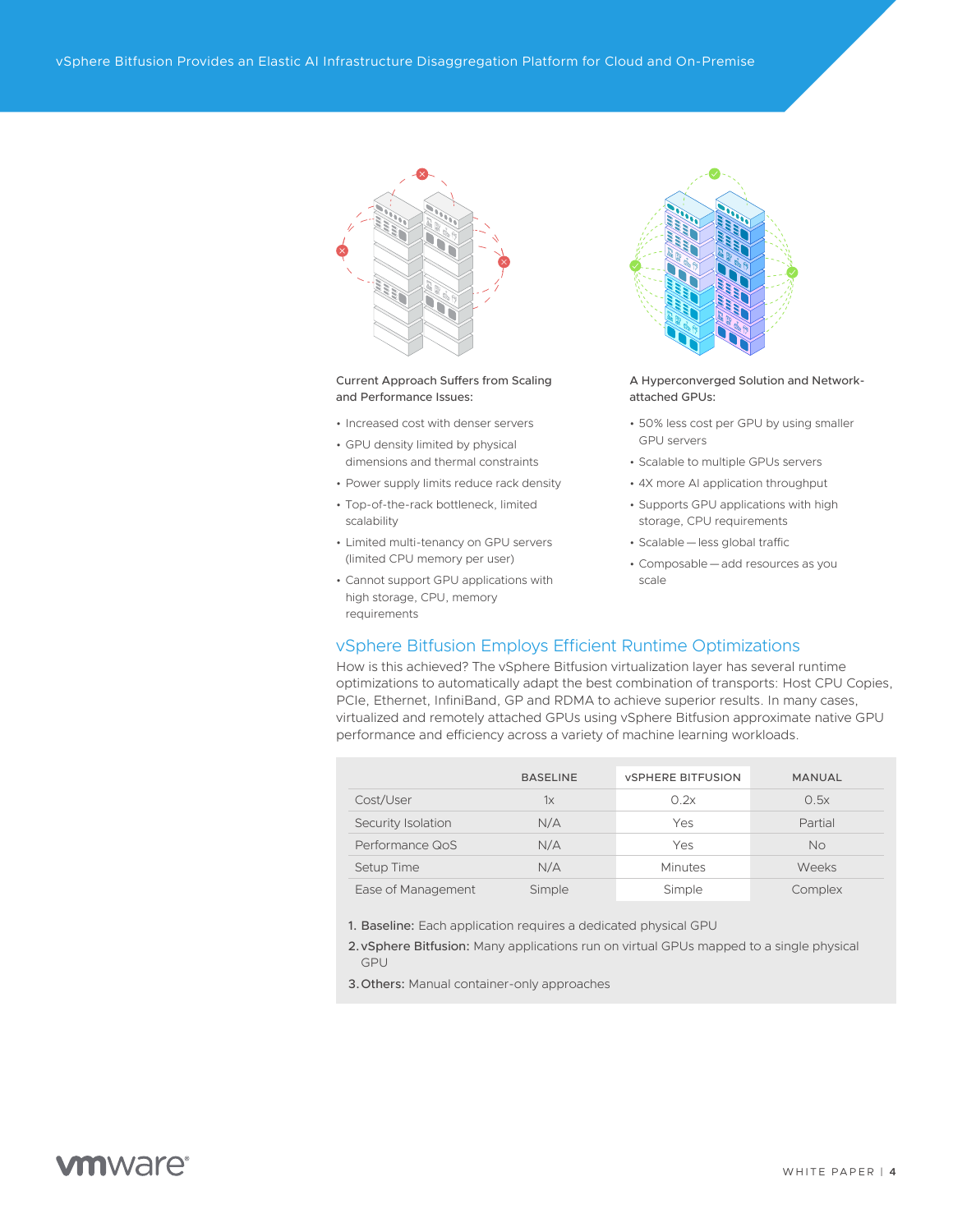<span id="page-3-0"></span>

Current Approach Suffers from Scaling and Performance Issues:

- Increased cost with denser servers
- GPU density limited by physical dimensions and thermal constraints
- Power supply limits reduce rack density
- Top-of-the-rack bottleneck, limited scalability
- Limited multi-tenancy on GPU servers (limited CPU memory per user)
- Cannot support GPU applications with high storage, CPU, memory requirements



A Hyperconverged Solution and Networkattached GPUs:

- 50% less cost per GPU by using smaller GPU servers
- Scalable to multiple GPUs servers
- 4X more AI application throughput • Supports GPU applications with high
- storage, CPU requirements • Scalable—less global traffic
- Composable—add resources as you scale

#### vSphere Bitfusion Employs Efficient Runtime Optimizations

How is this achieved? The vSphere Bitfusion virtualization layer has several runtime optimizations to automatically adapt the best combination of transports: Host CPU Copies, PCIe, Ethernet, InfiniBand, GP and RDMA to achieve superior results. In many cases, virtualized and remotely attached GPUs using vSphere Bitfusion approximate native GPU performance and efficiency across a variety of machine learning workloads.

|                    | <b>BASELINE</b> | <b>VSPHERE BITFUSION</b> | <b>MANUAL</b> |
|--------------------|-----------------|--------------------------|---------------|
| Cost/User          | $1\times$       | 0.2x                     | 0.5x          |
| Security Isolation | N/A             | Yes                      | Partial       |
| Performance QoS    | N/A             | Yes                      | No            |
| Setup Time         | N/A             | Minutes                  | Weeks         |
| Ease of Management | Simple          | Simple                   | Complex       |

- 1. Baseline: Each application requires a dedicated physical GPU
- 2.vSphere Bitfusion: Many applications run on virtual GPUs mapped to a single physical GPU
- 3.Others: Manual container-only approaches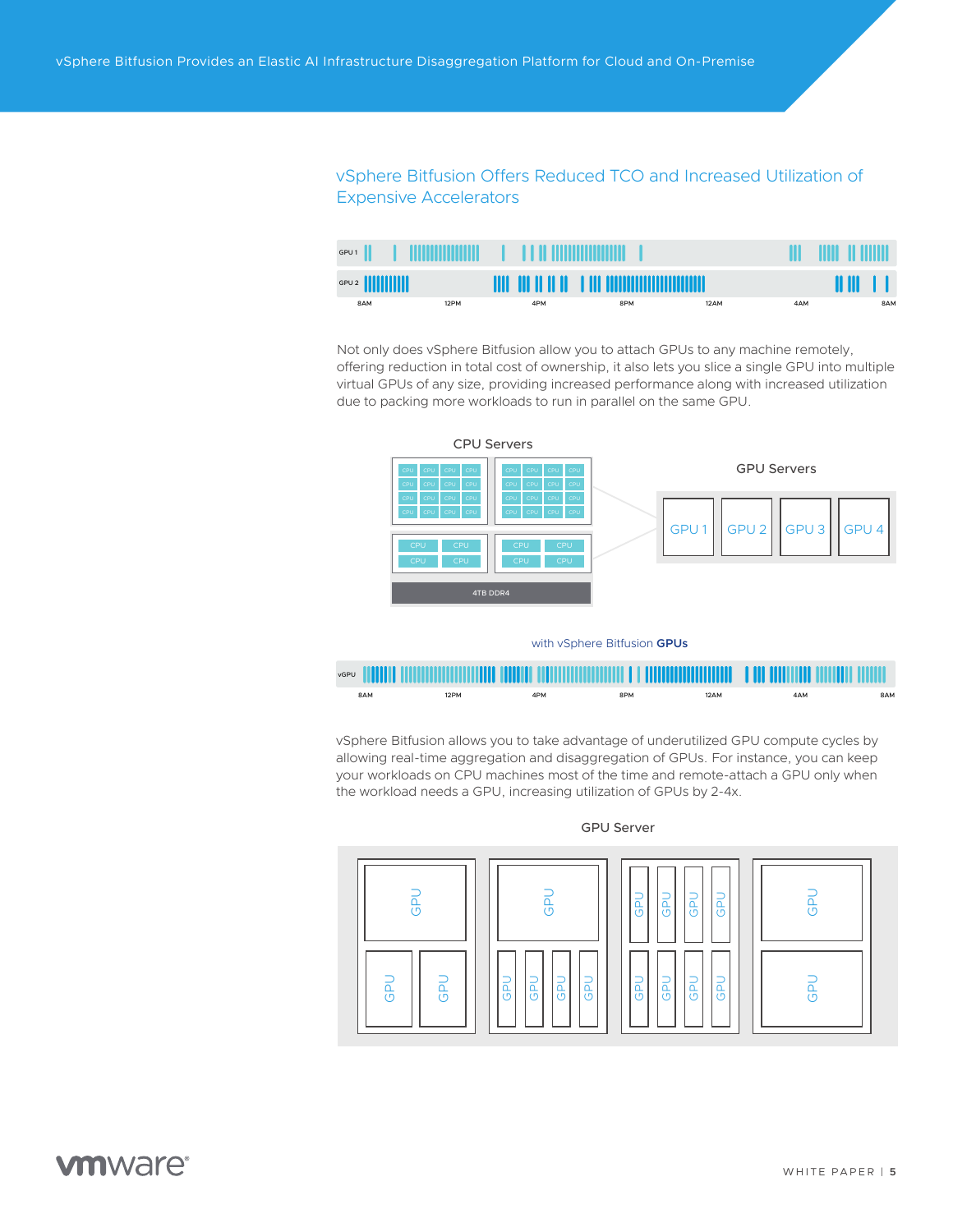### <span id="page-4-0"></span>vSphere Bitfusion Offers Reduced TCO and Increased Utilization of Expensive Accelerators

| GPU1  |      | <b>TELEVISION CONTINUES.</b> |                                      |      |     | TIL TINI II HIIII |
|-------|------|------------------------------|--------------------------------------|------|-----|-------------------|
| GPU 2 |      |                              | THE THEFT OF HELP THE HOMINICALITIES |      |     |                   |
| 8AM   | 12PM | 4PM                          | 8PM                                  | 12AM | 4AM | 8AM               |

Not only does vSphere Bitfusion allow you to attach GPUs to any machine remotely, offering reduction in total cost of ownership, it also lets you slice a single GPU into multiple virtual GPUs of any size, providing increased performance along with increased utilization due to packing more workloads to run in parallel on the same GPU.



with vSphere Bitfusion **GPUs**



vSphere Bitfusion allows you to take advantage of underutilized GPU compute cycles by allowing real-time aggregation and disaggregation of GPUs. For instance, you can keep your workloads on CPU machines most of the time and remote-attach a GPU only when the workload needs a GPU, increasing utilization of GPUs by 2-4x.

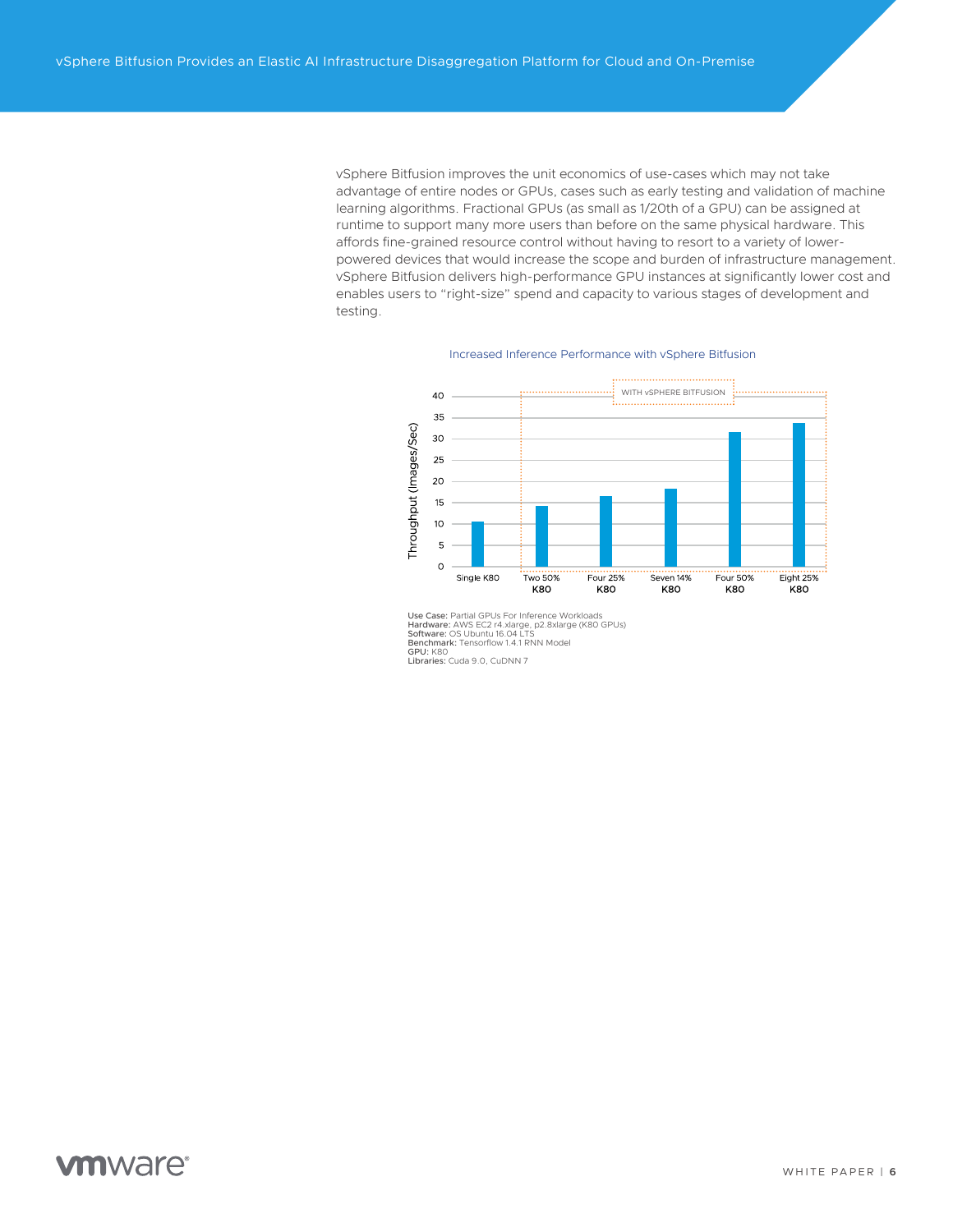vSphere Bitfusion improves the unit economics of use-cases which may not take advantage of entire nodes or GPUs, cases such as early testing and validation of machine learning algorithms. Fractional GPUs (as small as 1/20th of a GPU) can be assigned at runtime to support many more users than before on the same physical hardware. This affords fine-grained resource control without having to resort to a variety of lowerpowered devices that would increase the scope and burden of infrastructure management. vSphere Bitfusion delivers high-performance GPU instances at significantly lower cost and enables users to "right-size" spend and capacity to various stages of development and testing.

#### .................................. WITH vSPHERE BITFUSION 40 35 Throughput (Images/Sec) 30 25  $20$  $15<sup>15</sup>$  $10<sup>1</sup>$ 5  $\circ$ Eight 25% Single K80 **Two 50%** Four 25% Seven 14% **Four 50%** K8O K80 K80 K8O K8O

#### Increased Inference Performance with vSphere Bitfusion

Use Case: Partial GPUs For Inference Workloads<br>Hardware: AWS EC2 r4.xlarge, p2.8xlarge (K80 GPUs)<br>**Software**: OS Ubuntu 16.04 LTS<br>**Benchmar**k: Tensorflow 1.4.1 RNN Model<br>**GPU:** K80 Libraries: Cuda 9.0, CuDNN 7